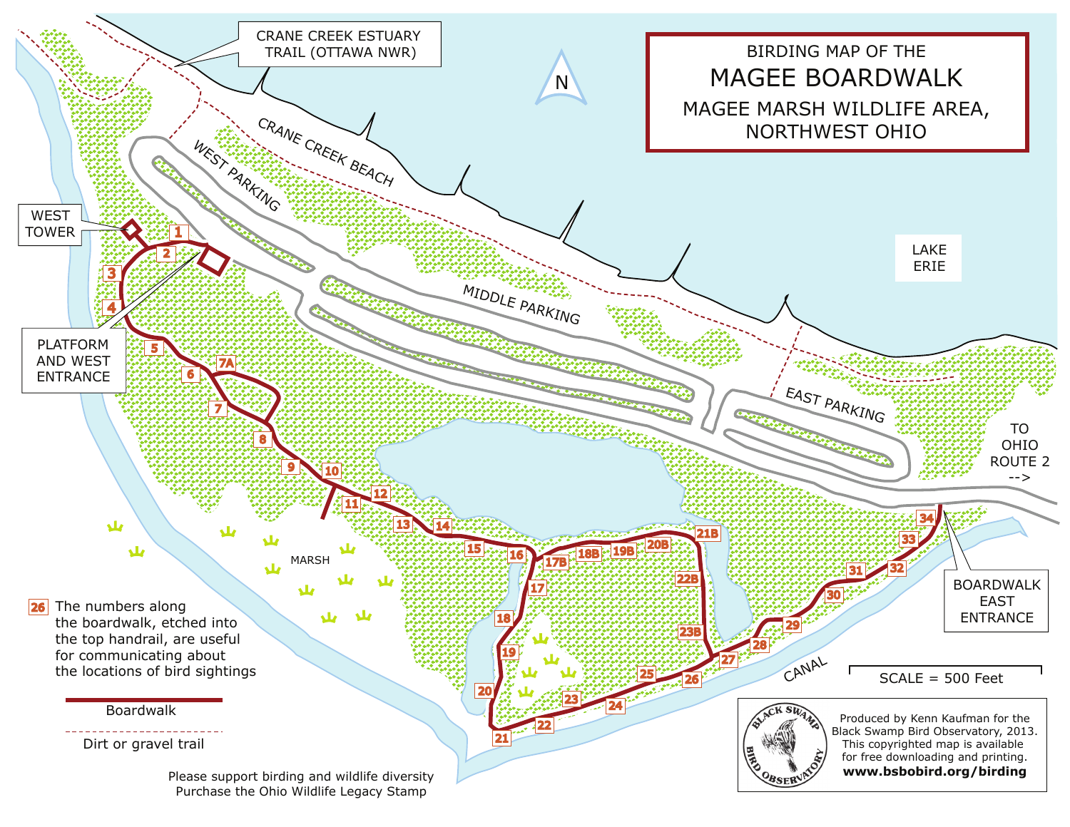